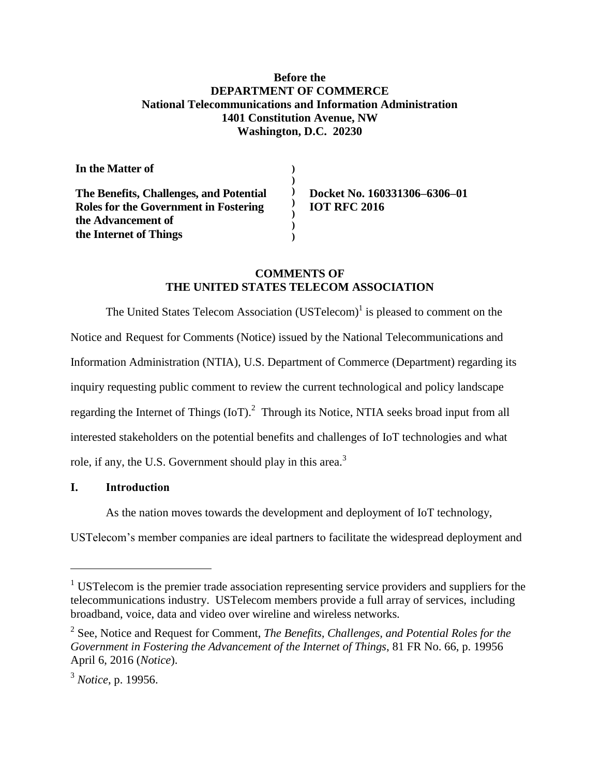## **Before the DEPARTMENT OF COMMERCE National Telecommunications and Information Administration 1401 Constitution Avenue, NW Washington, D.C. 20230**

| In the Matter of                             |                              |
|----------------------------------------------|------------------------------|
| The Benefits, Challenges, and Potential      | Docket No. 160331306-6306-01 |
| <b>Roles for the Government in Fostering</b> | <b>IOT RFC 2016</b>          |
| the Advancement of                           |                              |
| the Internet of Things                       |                              |

### **COMMENTS OF THE UNITED STATES TELECOM ASSOCIATION**

The United States Telecom Association (USTelecom) $<sup>1</sup>$  is pleased to comment on the</sup> Notice and Request for Comments (Notice) issued by the National Telecommunications and Information Administration (NTIA), U.S. Department of Commerce (Department) regarding its inquiry requesting public comment to review the current technological and policy landscape regarding the Internet of Things  $(IoT)$ . Through its Notice, NTIA seeks broad input from all interested stakeholders on the potential benefits and challenges of IoT technologies and what role, if any, the U.S. Government should play in this area.<sup>3</sup>

# **I. Introduction**

 $\overline{\phantom{a}}$ 

As the nation moves towards the development and deployment of IoT technology,

USTelecom's member companies are ideal partners to facilitate the widespread deployment and

 $1$  UST elecom is the premier trade association representing service providers and suppliers for the telecommunications industry. USTelecom members provide a full array of services, including broadband, voice, data and video over wireline and wireless networks.

<sup>2</sup> See, Notice and Request for Comment, *The Benefits, Challenges, and Potential Roles for the Government in Fostering the Advancement of the Internet of Things*, 81 FR No. 66, p. 19956 April 6, 2016 (*Notice*).

<sup>3</sup> *Notice*, p. 19956.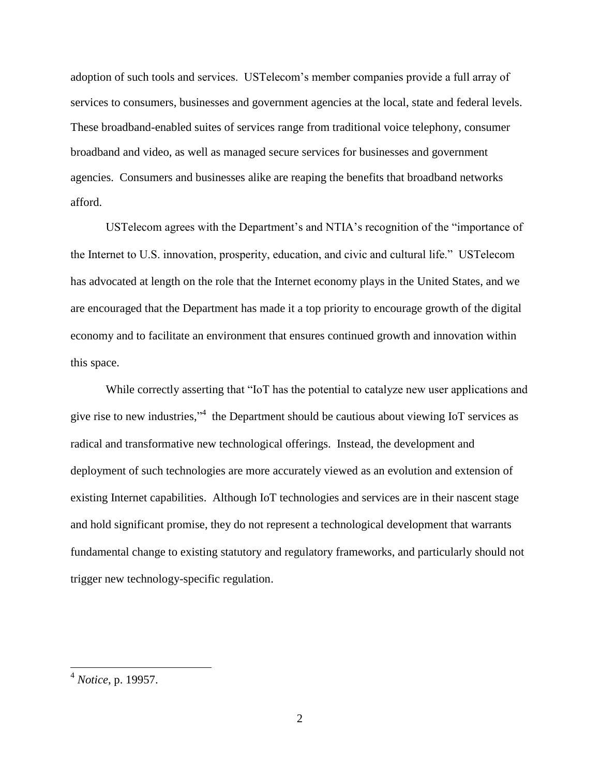adoption of such tools and services. USTelecom's member companies provide a full array of services to consumers, businesses and government agencies at the local, state and federal levels. These broadband-enabled suites of services range from traditional voice telephony, consumer broadband and video, as well as managed secure services for businesses and government agencies. Consumers and businesses alike are reaping the benefits that broadband networks afford.

USTelecom agrees with the Department's and NTIA's recognition of the "importance of the Internet to U.S. innovation, prosperity, education, and civic and cultural life." USTelecom has advocated at length on the role that the Internet economy plays in the United States, and we are encouraged that the Department has made it a top priority to encourage growth of the digital economy and to facilitate an environment that ensures continued growth and innovation within this space.

While correctly asserting that "IoT has the potential to catalyze new user applications and give rise to new industries,"<sup>4</sup> the Department should be cautious about viewing IoT services as radical and transformative new technological offerings. Instead, the development and deployment of such technologies are more accurately viewed as an evolution and extension of existing Internet capabilities. Although IoT technologies and services are in their nascent stage and hold significant promise, they do not represent a technological development that warrants fundamental change to existing statutory and regulatory frameworks, and particularly should not trigger new technology-specific regulation.

<sup>4</sup> *Notice*, p. 19957.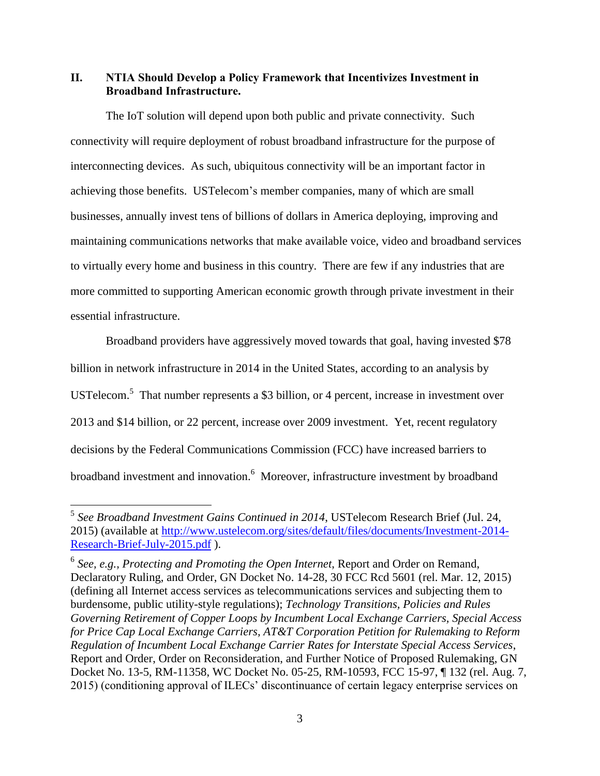**II. NTIA Should Develop a Policy Framework that Incentivizes Investment in Broadband Infrastructure.** 

The IoT solution will depend upon both public and private connectivity. Such connectivity will require deployment of robust broadband infrastructure for the purpose of interconnecting devices. As such, ubiquitous connectivity will be an important factor in achieving those benefits. USTelecom's member companies, many of which are small businesses, annually invest tens of billions of dollars in America deploying, improving and maintaining communications networks that make available voice, video and broadband services to virtually every home and business in this country. There are few if any industries that are more committed to supporting American economic growth through private investment in their essential infrastructure.

Broadband providers have aggressively moved towards that goal, having invested \$78 billion in network infrastructure in 2014 in the United States, according to an analysis by USTelecom.<sup>5</sup> That number represents a \$3 billion, or 4 percent, increase in investment over 2013 and \$14 billion, or 22 percent, increase over 2009 investment. Yet, recent regulatory decisions by the Federal Communications Commission (FCC) have increased barriers to broadband investment and innovation. <sup>6</sup> Moreover, infrastructure investment by broadband

 5 *See Broadband Investment Gains Continued in 2014*, USTelecom Research Brief (Jul. 24, 2015) (available at [http://www.ustelecom.org/sites/default/files/documents/Investment-2014-](http://www.ustelecom.org/sites/default/files/documents/Investment-2014-Research-Brief-July-2015.pdf) [Research-Brief-July-2015.pdf](http://www.ustelecom.org/sites/default/files/documents/Investment-2014-Research-Brief-July-2015.pdf) ).

<sup>&</sup>lt;sup>6</sup> See, e.g., Protecting and Promoting the Open Internet, Report and Order on Remand, Declaratory Ruling, and Order, GN Docket No. 14-28, 30 FCC Rcd 5601 (rel. Mar. 12, 2015) (defining all Internet access services as telecommunications services and subjecting them to burdensome, public utility-style regulations); *Technology Transitions, Policies and Rules Governing Retirement of Copper Loops by Incumbent Local Exchange Carriers, Special Access for Price Cap Local Exchange Carriers, AT&T Corporation Petition for Rulemaking to Reform Regulation of Incumbent Local Exchange Carrier Rates for Interstate Special Access Services*, Report and Order, Order on Reconsideration, and Further Notice of Proposed Rulemaking, GN Docket No. 13-5, RM-11358, WC Docket No. 05-25, RM-10593, FCC 15-97, ¶ 132 (rel. Aug. 7, 2015) (conditioning approval of ILECs' discontinuance of certain legacy enterprise services on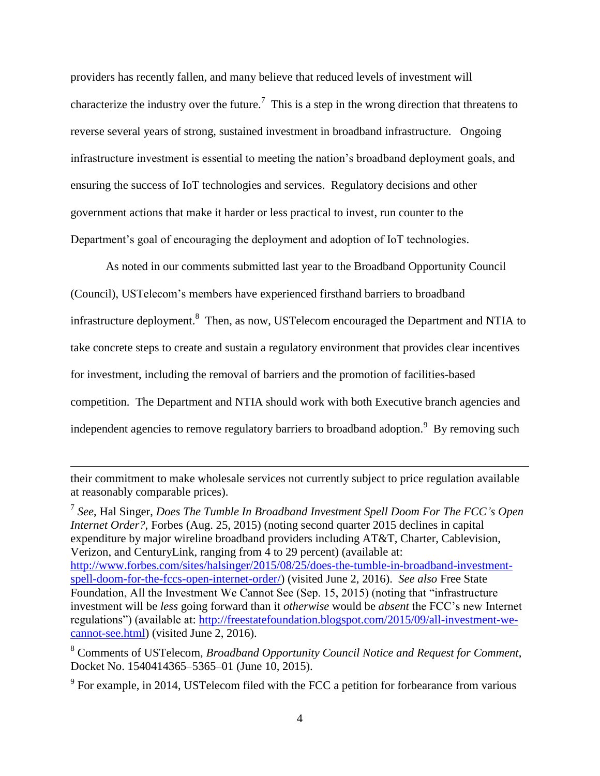providers has recently fallen, and many believe that reduced levels of investment will characterize the industry over the future.<sup>7</sup> This is a step in the wrong direction that threatens to reverse several years of strong, sustained investment in broadband infrastructure. Ongoing infrastructure investment is essential to meeting the nation's broadband deployment goals, and ensuring the success of IoT technologies and services. Regulatory decisions and other government actions that make it harder or less practical to invest, run counter to the Department's goal of encouraging the deployment and adoption of IoT technologies.

As noted in our comments submitted last year to the Broadband Opportunity Council (Council), USTelecom's members have experienced firsthand barriers to broadband infrastructure deployment.<sup>8</sup> Then, as now, USTelecom encouraged the Department and NTIA to take concrete steps to create and sustain a regulatory environment that provides clear incentives for investment, including the removal of barriers and the promotion of facilities-based competition. The Department and NTIA should work with both Executive branch agencies and independent agencies to remove regulatory barriers to broadband adoption.<sup>9</sup> By removing such

their commitment to make wholesale services not currently subject to price regulation available at reasonably comparable prices).

l

7 *See*, Hal Singer, *Does The Tumble In Broadband Investment Spell Doom For The FCC's Open Internet Order?*, Forbes (Aug. 25, 2015) (noting second quarter 2015 declines in capital expenditure by major wireline broadband providers including AT&T, Charter, Cablevision, Verizon, and CenturyLink, ranging from 4 to 29 percent) (available at: [http://www.forbes.com/sites/halsinger/2015/08/25/does-the-tumble-in-broadband-investment](http://www.forbes.com/sites/halsinger/2015/08/25/does-the-tumble-in-broadband-investment-spell-doom-for-the-fccs-open-internet-order/)[spell-doom-for-the-fccs-open-internet-order/\)](http://www.forbes.com/sites/halsinger/2015/08/25/does-the-tumble-in-broadband-investment-spell-doom-for-the-fccs-open-internet-order/) (visited June 2, 2016). *See also* Free State Foundation, All the Investment We Cannot See (Sep. 15, 2015) (noting that "infrastructure investment will be *less* going forward than it *otherwise* would be *absent* the FCC's new Internet regulations") (available at: [http://freestatefoundation.blogspot.com/2015/09/all-investment-we](http://freestatefoundation.blogspot.com/2015/09/all-investment-we-cannot-see.html)[cannot-see.html\)](http://freestatefoundation.blogspot.com/2015/09/all-investment-we-cannot-see.html) (visited June 2, 2016).

<sup>8</sup> Comments of USTelecom, *Broadband Opportunity Council Notice and Request for Comment*, Docket No. 1540414365–5365–01 (June 10, 2015).

 $9^9$  For example, in 2014, USTelecom filed with the FCC a petition for forbearance from various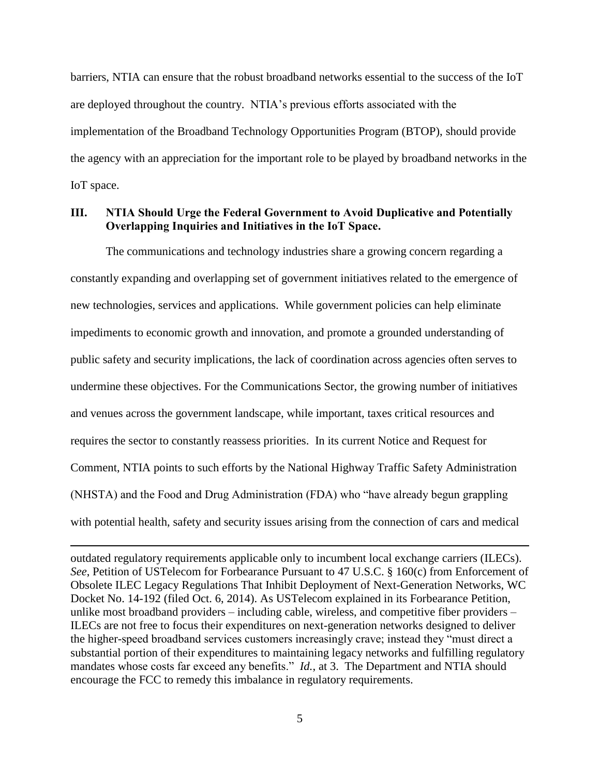barriers, NTIA can ensure that the robust broadband networks essential to the success of the IoT are deployed throughout the country. NTIA's previous efforts associated with the implementation of the Broadband Technology Opportunities Program (BTOP), should provide the agency with an appreciation for the important role to be played by broadband networks in the IoT space.

### **III. NTIA Should Urge the Federal Government to Avoid Duplicative and Potentially Overlapping Inquiries and Initiatives in the IoT Space.**

The communications and technology industries share a growing concern regarding a constantly expanding and overlapping set of government initiatives related to the emergence of new technologies, services and applications. While government policies can help eliminate impediments to economic growth and innovation, and promote a grounded understanding of public safety and security implications, the lack of coordination across agencies often serves to undermine these objectives. For the Communications Sector, the growing number of initiatives and venues across the government landscape, while important, taxes critical resources and requires the sector to constantly reassess priorities. In its current Notice and Request for Comment, NTIA points to such efforts by the National Highway Traffic Safety Administration (NHSTA) and the Food and Drug Administration (FDA) who "have already begun grappling with potential health, safety and security issues arising from the connection of cars and medical

outdated regulatory requirements applicable only to incumbent local exchange carriers (ILECs). *See*, Petition of USTelecom for Forbearance Pursuant to 47 U.S.C. § 160(c) from Enforcement of Obsolete ILEC Legacy Regulations That Inhibit Deployment of Next-Generation Networks, WC Docket No. 14-192 (filed Oct. 6, 2014). As USTelecom explained in its Forbearance Petition, unlike most broadband providers – including cable, wireless, and competitive fiber providers – ILECs are not free to focus their expenditures on next-generation networks designed to deliver the higher-speed broadband services customers increasingly crave; instead they "must direct a substantial portion of their expenditures to maintaining legacy networks and fulfilling regulatory mandates whose costs far exceed any benefits." *Id.*, at 3. The Department and NTIA should encourage the FCC to remedy this imbalance in regulatory requirements.

l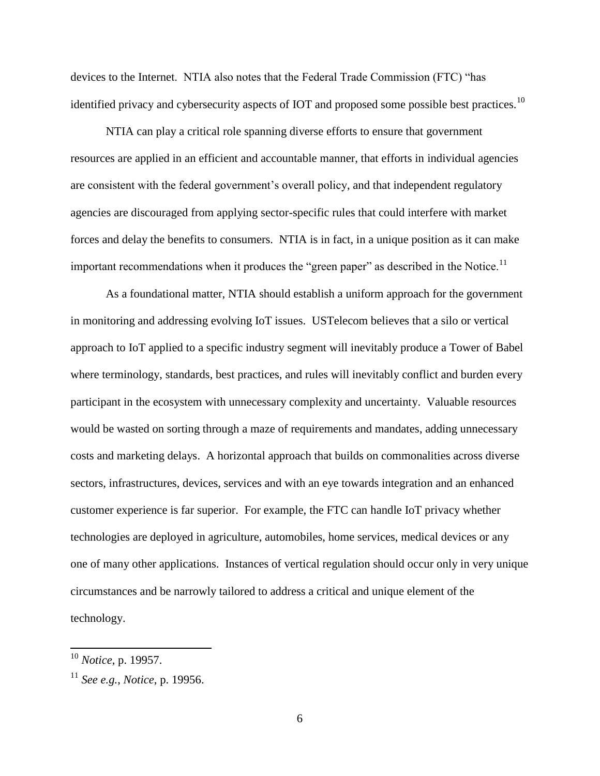devices to the Internet. NTIA also notes that the Federal Trade Commission (FTC) "has identified privacy and cybersecurity aspects of IOT and proposed some possible best practices.<sup>10</sup>

NTIA can play a critical role spanning diverse efforts to ensure that government resources are applied in an efficient and accountable manner, that efforts in individual agencies are consistent with the federal government's overall policy, and that independent regulatory agencies are discouraged from applying sector-specific rules that could interfere with market forces and delay the benefits to consumers. NTIA is in fact, in a unique position as it can make important recommendations when it produces the "green paper" as described in the Notice.<sup>11</sup>

As a foundational matter, NTIA should establish a uniform approach for the government in monitoring and addressing evolving IoT issues. USTelecom believes that a silo or vertical approach to IoT applied to a specific industry segment will inevitably produce a Tower of Babel where terminology, standards, best practices, and rules will inevitably conflict and burden every participant in the ecosystem with unnecessary complexity and uncertainty. Valuable resources would be wasted on sorting through a maze of requirements and mandates, adding unnecessary costs and marketing delays. A horizontal approach that builds on commonalities across diverse sectors, infrastructures, devices, services and with an eye towards integration and an enhanced customer experience is far superior. For example, the FTC can handle IoT privacy whether technologies are deployed in agriculture, automobiles, home services, medical devices or any one of many other applications. Instances of vertical regulation should occur only in very unique circumstances and be narrowly tailored to address a critical and unique element of the technology.

<sup>10</sup> *Notice*, p. 19957.

<sup>11</sup> *See e.g.*, *Notice*, p. 19956.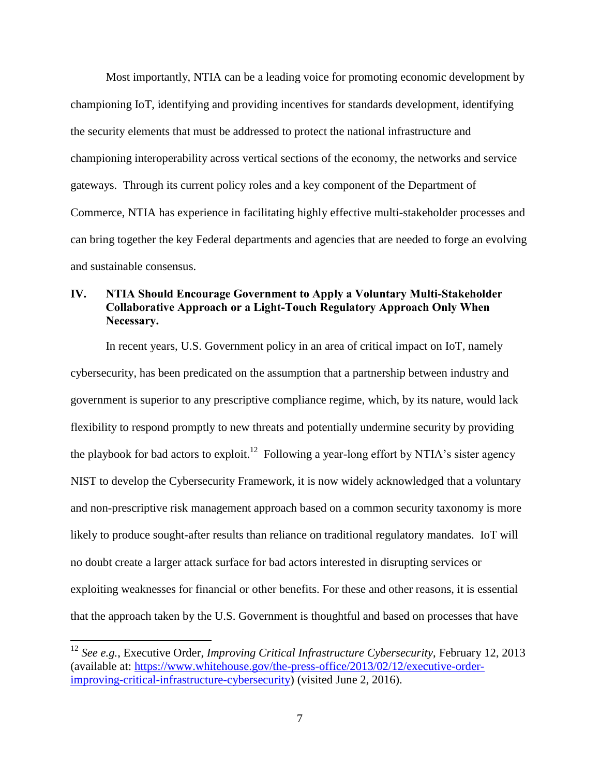Most importantly, NTIA can be a leading voice for promoting economic development by championing IoT, identifying and providing incentives for standards development, identifying the security elements that must be addressed to protect the national infrastructure and championing interoperability across vertical sections of the economy, the networks and service gateways. Through its current policy roles and a key component of the Department of Commerce, NTIA has experience in facilitating highly effective multi-stakeholder processes and can bring together the key Federal departments and agencies that are needed to forge an evolving and sustainable consensus.

# **IV. NTIA Should Encourage Government to Apply a Voluntary Multi-Stakeholder Collaborative Approach or a Light-Touch Regulatory Approach Only When Necessary.**

In recent years, U.S. Government policy in an area of critical impact on IoT, namely cybersecurity, has been predicated on the assumption that a partnership between industry and government is superior to any prescriptive compliance regime, which, by its nature, would lack flexibility to respond promptly to new threats and potentially undermine security by providing the playbook for bad actors to exploit.<sup>12</sup> Following a year-long effort by NTIA's sister agency NIST to develop the Cybersecurity Framework, it is now widely acknowledged that a voluntary and non-prescriptive risk management approach based on a common security taxonomy is more likely to produce sought-after results than reliance on traditional regulatory mandates. IoT will no doubt create a larger attack surface for bad actors interested in disrupting services or exploiting weaknesses for financial or other benefits. For these and other reasons, it is essential that the approach taken by the U.S. Government is thoughtful and based on processes that have

 $\overline{a}$ 

<sup>12</sup> *See e.g.*, Executive Order, *Improving Critical Infrastructure Cybersecurity*, February 12, 2013 (available at: [https://www.whitehouse.gov/the-press-office/2013/02/12/executive-order](https://www.whitehouse.gov/the-press-office/2013/02/12/executive-order-improving-critical-infrastructure-cybersecurity)[improving-critical-infrastructure-cybersecurity\)](https://www.whitehouse.gov/the-press-office/2013/02/12/executive-order-improving-critical-infrastructure-cybersecurity) (visited June 2, 2016).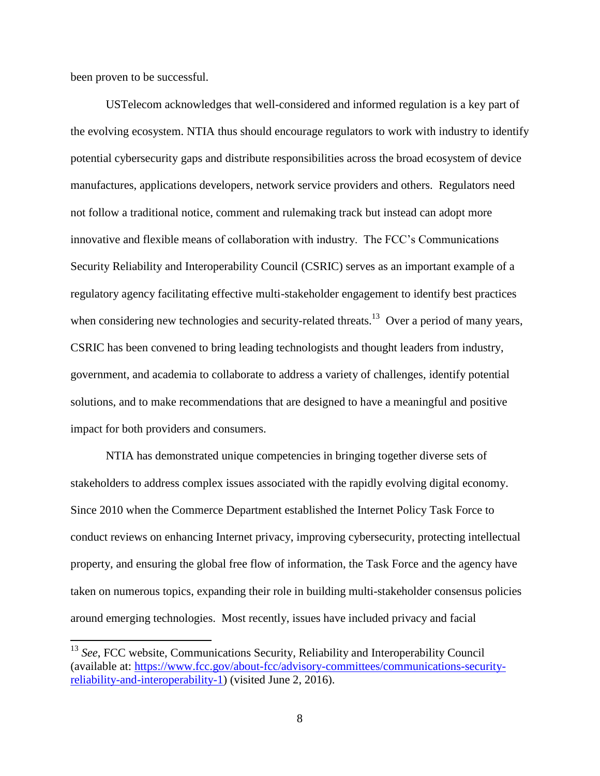been proven to be successful.

 $\overline{a}$ 

USTelecom acknowledges that well-considered and informed regulation is a key part of the evolving ecosystem. NTIA thus should encourage regulators to work with industry to identify potential cybersecurity gaps and distribute responsibilities across the broad ecosystem of device manufactures, applications developers, network service providers and others. Regulators need not follow a traditional notice, comment and rulemaking track but instead can adopt more innovative and flexible means of collaboration with industry. The FCC's Communications Security Reliability and Interoperability Council (CSRIC) serves as an important example of a regulatory agency facilitating effective multi-stakeholder engagement to identify best practices when considering new technologies and security-related threats.<sup>13</sup> Over a period of many years, CSRIC has been convened to bring leading technologists and thought leaders from industry, government, and academia to collaborate to address a variety of challenges, identify potential solutions, and to make recommendations that are designed to have a meaningful and positive impact for both providers and consumers.

NTIA has demonstrated unique competencies in bringing together diverse sets of stakeholders to address complex issues associated with the rapidly evolving digital economy. Since 2010 when the Commerce Department established the Internet Policy Task Force to conduct reviews on enhancing Internet privacy, improving cybersecurity, protecting intellectual property, and ensuring the global free flow of information, the Task Force and the agency have taken on numerous topics, expanding their role in building multi-stakeholder consensus policies around emerging technologies. Most recently, issues have included privacy and facial

<sup>&</sup>lt;sup>13</sup> See, FCC website, Communications Security, Reliability and Interoperability Council (available at: [https://www.fcc.gov/about-fcc/advisory-committees/communications-security](https://www.fcc.gov/about-fcc/advisory-committees/communications-security-reliability-and-interoperability-1)[reliability-and-interoperability-1\)](https://www.fcc.gov/about-fcc/advisory-committees/communications-security-reliability-and-interoperability-1) (visited June 2, 2016).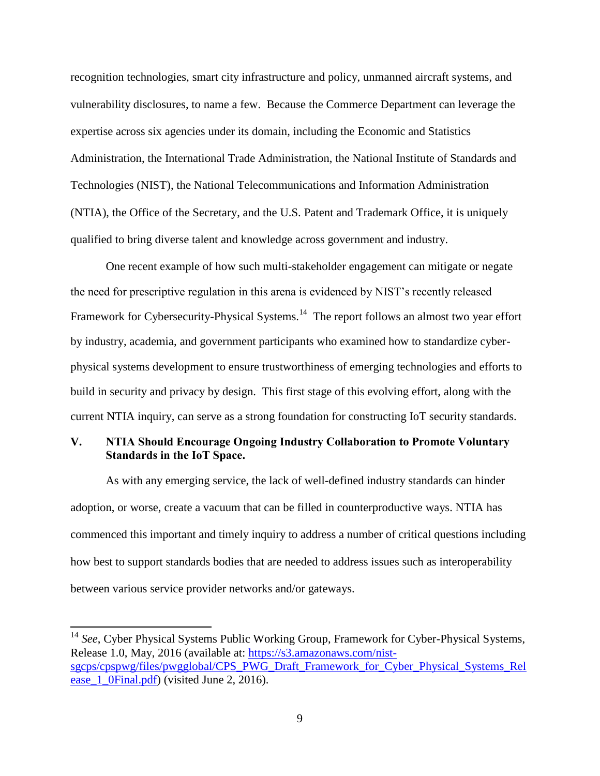recognition technologies, smart city infrastructure and policy, unmanned aircraft systems, and vulnerability disclosures, to name a few. Because the Commerce Department can leverage the expertise across six agencies under its domain, including the Economic and Statistics Administration, the International Trade Administration, the National Institute of Standards and Technologies (NIST), the National Telecommunications and Information Administration (NTIA), the Office of the Secretary, and the U.S. Patent and Trademark Office, it is uniquely qualified to bring diverse talent and knowledge across government and industry.

One recent example of how such multi-stakeholder engagement can mitigate or negate the need for prescriptive regulation in this arena is evidenced by NIST's recently released Framework for Cybersecurity-Physical Systems.<sup>14</sup> The report follows an almost two year effort by industry, academia, and government participants who examined how to standardize cyberphysical systems development to ensure trustworthiness of emerging technologies and efforts to build in security and privacy by design. This first stage of this evolving effort, along with the current NTIA inquiry, can serve as a strong foundation for constructing IoT security standards.

# **V. NTIA Should Encourage Ongoing Industry Collaboration to Promote Voluntary Standards in the IoT Space.**

As with any emerging service, the lack of well-defined industry standards can hinder adoption, or worse, create a vacuum that can be filled in counterproductive ways. NTIA has commenced this important and timely inquiry to address a number of critical questions including how best to support standards bodies that are needed to address issues such as interoperability between various service provider networks and/or gateways.

l

<sup>&</sup>lt;sup>14</sup> See, Cyber Physical Systems Public Working Group, Framework for Cyber-Physical Systems, Release 1.0, May, 2016 (available at: [https://s3.amazonaws.com/nist](https://s3.amazonaws.com/nist-sgcps/cpspwg/files/pwgglobal/CPS_PWG_Draft_Framework_for_Cyber_Physical_Systems_Release_1_0Final.pdf)[sgcps/cpspwg/files/pwgglobal/CPS\\_PWG\\_Draft\\_Framework\\_for\\_Cyber\\_Physical\\_Systems\\_Rel](https://s3.amazonaws.com/nist-sgcps/cpspwg/files/pwgglobal/CPS_PWG_Draft_Framework_for_Cyber_Physical_Systems_Release_1_0Final.pdf) ease 1 0Final.pdf) (visited June 2, 2016).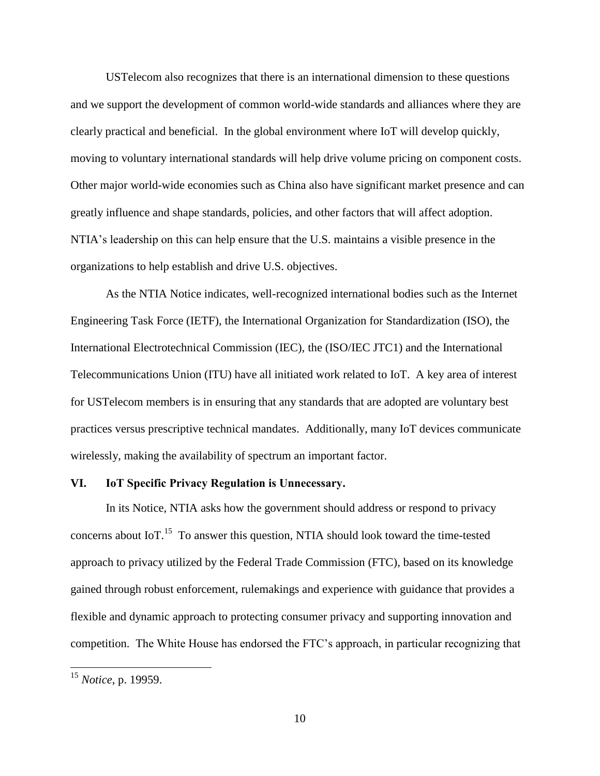USTelecom also recognizes that there is an international dimension to these questions and we support the development of common world-wide standards and alliances where they are clearly practical and beneficial. In the global environment where IoT will develop quickly, moving to voluntary international standards will help drive volume pricing on component costs. Other major world-wide economies such as China also have significant market presence and can greatly influence and shape standards, policies, and other factors that will affect adoption. NTIA's leadership on this can help ensure that the U.S. maintains a visible presence in the organizations to help establish and drive U.S. objectives.

As the NTIA Notice indicates, well-recognized international bodies such as the Internet Engineering Task Force (IETF), the International Organization for Standardization (ISO), the International Electrotechnical Commission (IEC), the (ISO/IEC JTC1) and the International Telecommunications Union (ITU) have all initiated work related to IoT. A key area of interest for USTelecom members is in ensuring that any standards that are adopted are voluntary best practices versus prescriptive technical mandates. Additionally, many IoT devices communicate wirelessly, making the availability of spectrum an important factor.

#### **VI. IoT Specific Privacy Regulation is Unnecessary.**

In its Notice, NTIA asks how the government should address or respond to privacy concerns about  $I_0$ <sup>15</sup> To answer this question, NTIA should look toward the time-tested approach to privacy utilized by the Federal Trade Commission (FTC), based on its knowledge gained through robust enforcement, rulemakings and experience with guidance that provides a flexible and dynamic approach to protecting consumer privacy and supporting innovation and competition. The White House has endorsed the FTC's approach, in particular recognizing that

<sup>15</sup> *Notice*, p. 19959.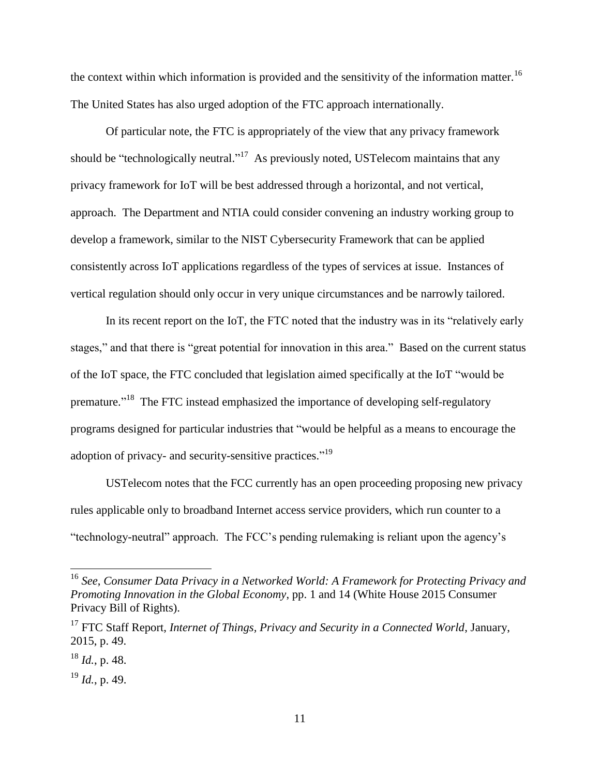the context within which information is provided and the sensitivity of the information matter.<sup>16</sup> The United States has also urged adoption of the FTC approach internationally.

Of particular note, the FTC is appropriately of the view that any privacy framework should be "technologically neutral."<sup>17</sup> As previously noted, UST elecom maintains that any privacy framework for IoT will be best addressed through a horizontal, and not vertical, approach. The Department and NTIA could consider convening an industry working group to develop a framework, similar to the NIST Cybersecurity Framework that can be applied consistently across IoT applications regardless of the types of services at issue. Instances of vertical regulation should only occur in very unique circumstances and be narrowly tailored.

In its recent report on the IoT, the FTC noted that the industry was in its "relatively early stages," and that there is "great potential for innovation in this area." Based on the current status of the IoT space, the FTC concluded that legislation aimed specifically at the IoT "would be premature."<sup>18</sup> The FTC instead emphasized the importance of developing self-regulatory programs designed for particular industries that "would be helpful as a means to encourage the adoption of privacy- and security-sensitive practices."<sup>19</sup>

USTelecom notes that the FCC currently has an open proceeding proposing new privacy rules applicable only to broadband Internet access service providers, which run counter to a "technology-neutral" approach. The FCC's pending rulemaking is reliant upon the agency's

<sup>16</sup> *See*, *Consumer Data Privacy in a Networked World: A Framework for Protecting Privacy and Promoting Innovation in the Global Economy*, pp. 1 and 14 (White House 2015 Consumer Privacy Bill of Rights).

<sup>&</sup>lt;sup>17</sup> FTC Staff Report, *Internet of Things, Privacy and Security in a Connected World*, January, 2015, p. 49.

<sup>18</sup> *Id.*, p. 48.

<sup>19</sup> *Id.*, p. 49.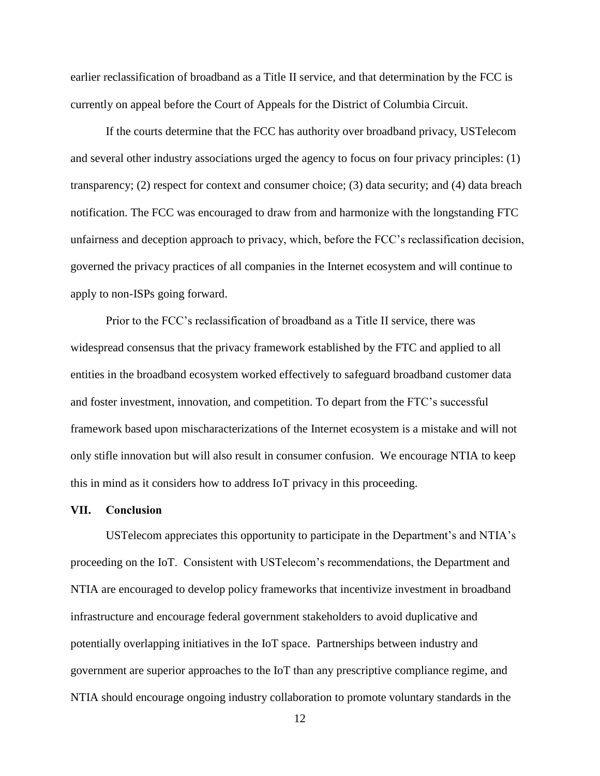earlier reclassification of broadband as a Title II service, and that determination by the FCC is currently on appeal before the Court of Appeals for the District of Columbia Circuit.

If the courts determine that the FCC has authority over broadband privacy, USTelecom and several other industry associations urged the agency to focus on four privacy principles: (1) transparency; (2) respect for context and consumer choice; (3) data security; and (4) data breach notification. The FCC was encouraged to draw from and harmonize with the longstanding FTC unfairness and deception approach to privacy, which, before the FCC's reclassification decision, governed the privacy practices of all companies in the Internet ecosystem and will continue to apply to non-ISPs going forward.

Prior to the FCC's reclassification of broadband as a Title II service, there was widespread consensus that the privacy framework established by the FTC and applied to all entities in the broadband ecosystem worked effectively to safeguard broadband customer data and foster investment, innovation, and competition. To depart from the FTC's successful framework based upon mischaracterizations of the Internet ecosystem is a mistake and will not only stifle innovation but will also result in consumer confusion. We encourage NTIA to keep this in mind as it considers how to address IoT privacy in this proceeding.

#### **VII. Conclusion**

USTelecom appreciates this opportunity to participate in the Department's and NTIA's proceeding on the IoT. Consistent with USTelecom's recommendations, the Department and NTIA are encouraged to develop policy frameworks that incentivize investment in broadband infrastructure and encourage federal government stakeholders to avoid duplicative and potentially overlapping initiatives in the IoT space. Partnerships between industry and government are superior approaches to the IoT than any prescriptive compliance regime, and NTIA should encourage ongoing industry collaboration to promote voluntary standards in the

12